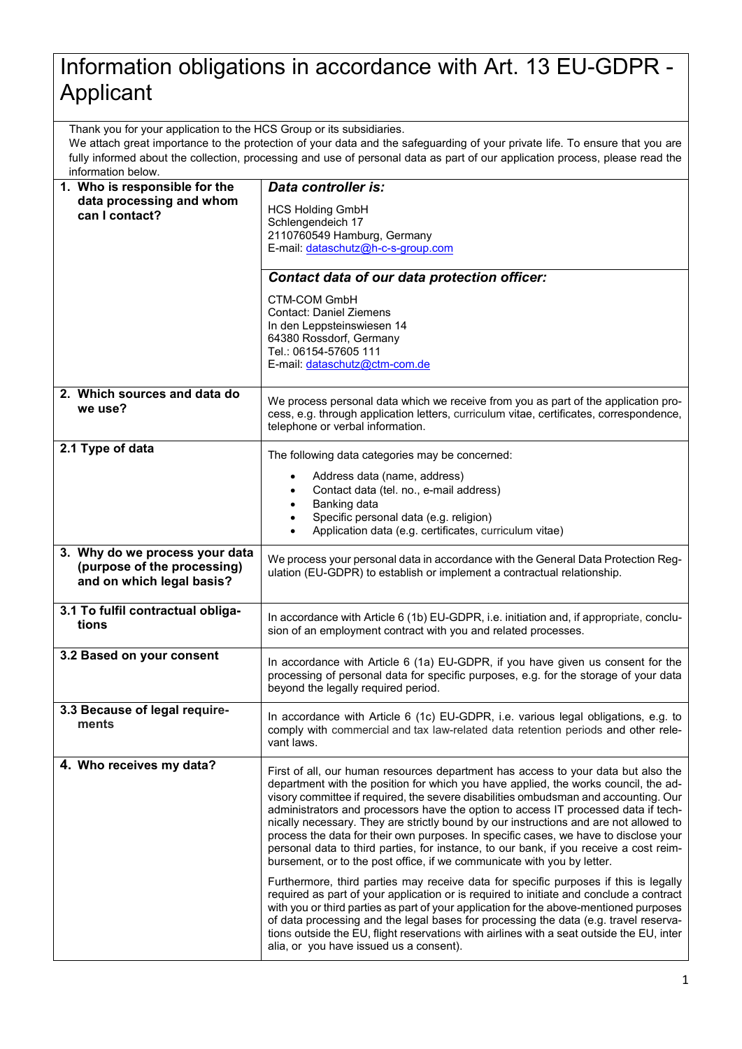## Information obligations in accordance with Art. 13 EU-GDPR - Applicant

Thank you for your application to the HCS Group or its subsidiaries.

We attach great importance to the protection of your data and the safeguarding of your private life. To ensure that you are fully informed about the collection, processing and use of personal data as part of our application process, please read the information below.

| 1. Who is responsible for the              | Data controller is:                                                                                                                                                            |
|--------------------------------------------|--------------------------------------------------------------------------------------------------------------------------------------------------------------------------------|
| data processing and whom<br>can I contact? | <b>HCS Holding GmbH</b>                                                                                                                                                        |
|                                            | Schlengendeich 17                                                                                                                                                              |
|                                            | 2110760549 Hamburg, Germany                                                                                                                                                    |
|                                            | E-mail: dataschutz@h-c-s-group.com                                                                                                                                             |
|                                            | Contact data of our data protection officer:                                                                                                                                   |
|                                            | <b>CTM-COM GmbH</b>                                                                                                                                                            |
|                                            | <b>Contact: Daniel Ziemens</b>                                                                                                                                                 |
|                                            | In den Leppsteinswiesen 14<br>64380 Rossdorf, Germany                                                                                                                          |
|                                            | Tel.: 06154-57605 111                                                                                                                                                          |
|                                            | E-mail: dataschutz@ctm-com.de                                                                                                                                                  |
| 2. Which sources and data do               | We process personal data which we receive from you as part of the application pro-                                                                                             |
| we use?                                    | cess, e.g. through application letters, curriculum vitae, certificates, correspondence,                                                                                        |
|                                            | telephone or verbal information.                                                                                                                                               |
| 2.1 Type of data                           | The following data categories may be concerned:                                                                                                                                |
|                                            | Address data (name, address)                                                                                                                                                   |
|                                            | Contact data (tel. no., e-mail address)                                                                                                                                        |
|                                            | Banking data<br>Specific personal data (e.g. religion)<br>$\bullet$                                                                                                            |
|                                            | Application data (e.g. certificates, curriculum vitae)<br>$\bullet$                                                                                                            |
| 3. Why do we process your data             |                                                                                                                                                                                |
| (purpose of the processing)                | We process your personal data in accordance with the General Data Protection Reg-<br>ulation (EU-GDPR) to establish or implement a contractual relationship.                   |
| and on which legal basis?                  |                                                                                                                                                                                |
| 3.1 To fulfil contractual obliga-          |                                                                                                                                                                                |
| tions                                      | In accordance with Article 6 (1b) EU-GDPR, i.e. initiation and, if appropriate, conclu-<br>sion of an employment contract with you and related processes.                      |
|                                            |                                                                                                                                                                                |
| 3.2 Based on your consent                  | In accordance with Article 6 (1a) EU-GDPR, if you have given us consent for the                                                                                                |
|                                            | processing of personal data for specific purposes, e.g. for the storage of your data                                                                                           |
|                                            | beyond the legally required period.                                                                                                                                            |
| 3.3 Because of legal require-              | In accordance with Article 6 (1c) EU-GDPR, i.e. various legal obligations, e.g. to                                                                                             |
| ments                                      | comply with commercial and tax law-related data retention periods and other rele-                                                                                              |
|                                            | vant laws.                                                                                                                                                                     |
| 4. Who receives my data?                   | First of all, our human resources department has access to your data but also the                                                                                              |
|                                            | department with the position for which you have applied, the works council, the ad-                                                                                            |
|                                            | visory committee if required, the severe disabilities ombudsman and accounting. Our<br>administrators and processors have the option to access IT processed data if tech-      |
|                                            | nically necessary. They are strictly bound by our instructions and are not allowed to                                                                                          |
|                                            | process the data for their own purposes. In specific cases, we have to disclose your                                                                                           |
|                                            | personal data to third parties, for instance, to our bank, if you receive a cost reim-<br>bursement, or to the post office, if we communicate with you by letter.              |
|                                            | Furthermore, third parties may receive data for specific purposes if this is legally                                                                                           |
|                                            | required as part of your application or is required to initiate and conclude a contract                                                                                        |
|                                            | with you or third parties as part of your application for the above-mentioned purposes<br>of data processing and the legal bases for processing the data (e.g. travel reserva- |
|                                            | tions outside the EU, flight reservations with airlines with a seat outside the EU, inter                                                                                      |
|                                            | alia, or you have issued us a consent).                                                                                                                                        |